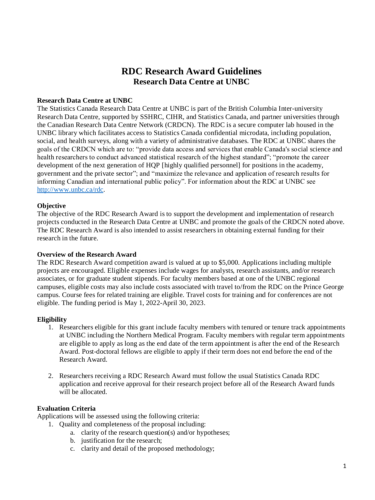# **RDC Research Award Guidelines Research Data Centre at UNBC**

#### **Research Data Centre at UNBC**

The Statistics Canada Research Data Centre at UNBC is part of the British Columbia Inter-university Research Data Centre, supported by SSHRC, CIHR, and Statistics Canada, and partner universities through the Canadian Research Data Centre Network (CRDCN). The RDC is a secure computer lab housed in the UNBC library which facilitates access to Statistics Canada confidential microdata, including population, social, and health surveys, along with a variety of administrative databases. The RDC at UNBC shares the goals of the CRDCN which are to: "provide data access and services that enable Canada's social science and health researchers to conduct advanced statistical research of the highest standard"; "promote the career development of the next generation of HQP [highly qualified personnel] for positions in the academy, government and the private sector"; and "maximize the relevance and application of research results for informing Canadian and international public policy". For information about the RDC at UNBC see [http://www.unbc.ca/rdc.](http://www.unbc.ca/rdc)

### **Objective**

The objective of the RDC Research Award is to support the development and implementation of research projects conducted in the Research Data Centre at UNBC and promote the goals of the CRDCN noted above. The RDC Research Award is also intended to assist researchers in obtaining external funding for their research in the future.

### **Overview of the Research Award**

The RDC Research Award competition award is valued at up to \$5,000. Applications including multiple projects are encouraged. Eligible expenses include wages for analysts, research assistants, and/or research associates, or for graduate student stipends. For faculty members based at one of the UNBC regional campuses, eligible costs may also include costs associated with travel to/from the RDC on the Prince George campus. Course fees for related training are eligible. Travel costs for training and for conferences are not eligible. The funding period is May 1, 2022-April 30, 2023.

### **Eligibility**

- 1. Researchers eligible for this grant include faculty members with tenured or tenure track appointments at UNBC including the Northern Medical Program. Faculty members with regular term appointments are eligible to apply as long as the end date of the term appointment is after the end of the Research Award. Post-doctoral fellows are eligible to apply if their term does not end before the end of the Research Award.
- 2. Researchers receiving a RDC Research Award must follow the usual Statistics Canada RDC application and receive approval for their research project before all of the Research Award funds will be allocated.

### **Evaluation Criteria**

Applications will be assessed using the following criteria:

- 1. Quality and completeness of the proposal including:
	- a. clarity of the research question(s) and/or hypotheses;
	- b. justification for the research;
	- c. clarity and detail of the proposed methodology;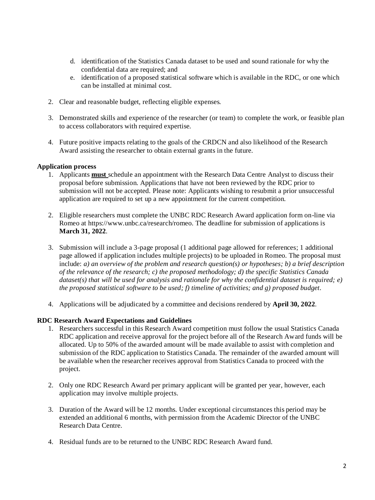- d. identification of the Statistics Canada dataset to be used and sound rationale for why the confidential data are required; and
- e. identification of a proposed statistical software which is available in the RDC, or one which can be installed at minimal cost.
- 2. Clear and reasonable budget, reflecting eligible expenses.
- 3. Demonstrated skills and experience of the researcher (or team) to complete the work, or feasible plan to access collaborators with required expertise.
- 4. Future positive impacts relating to the goals of the CRDCN and also likelihood of the Research Award assisting the researcher to obtain external grants in the future.

### **Application process**

- 1. Applicants **must** schedule an appointment with the Research Data Centre Analyst to discuss their proposal before submission. Applications that have not been reviewed by the RDC prior to submission will not be accepted. Please note: Applicants wishing to resubmit a prior unsuccessful application are required to set up a new appointment for the current competition.
- 2. Eligible researchers must complete the UNBC RDC Research Award application form on-line via Romeo at https://www.unbc.ca/research/romeo. The deadline for submission of applications is **March 31, 2022**.
- 3. Submission will include a 3-page proposal (1 additional page allowed for references; 1 additional page allowed if application includes multiple projects) to be uploaded in Romeo. The proposal must include: *a) an overview of the problem and research question(s) or hypotheses; b) a brief description of the relevance of the research; c) the proposed methodology; d) the specific Statistics Canada dataset(s) that will be used for analysis and rationale for why the confidential dataset is required; e) the proposed statistical software to be used; f) timeline of activities; and g) proposed budget.*
- 4. Applications will be adjudicated by a committee and decisions rendered by **April 30, 2022**.

## **RDC Research Award Expectations and Guidelines**

- 1. Researchers successful in this Research Award competition must follow the usual Statistics Canada RDC application and receive approval for the project before all of the Research Award funds will be allocated. Up to 50% of the awarded amount will be made available to assist with completion and submission of the RDC application to Statistics Canada. The remainder of the awarded amount will be available when the researcher receives approval from Statistics Canada to proceed with the project.
- 2. Only one RDC Research Award per primary applicant will be granted per year, however, each application may involve multiple projects.
- 3. Duration of the Award will be 12 months. Under exceptional circumstances this period may be extended an additional 6 months, with permission from the Academic Director of the UNBC Research Data Centre.
- 4. Residual funds are to be returned to the UNBC RDC Research Award fund.